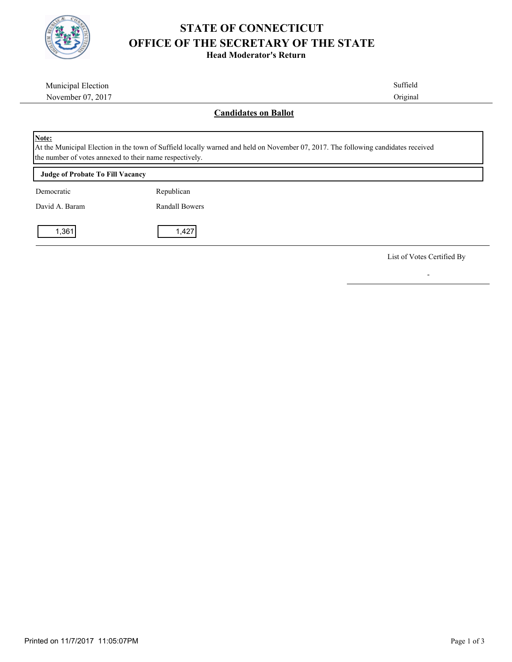

## **STATE OF CONNECTICUT OFFICE OF THE SECRETARY OF THE STATE**

**Head Moderator's Return**

| Municipal Election                                               | Suffield                                                                                                                          |  |
|------------------------------------------------------------------|-----------------------------------------------------------------------------------------------------------------------------------|--|
| November 07, 2017                                                | Original                                                                                                                          |  |
|                                                                  | <b>Candidates on Ballot</b>                                                                                                       |  |
| Note:<br>the number of votes annexed to their name respectively. | At the Municipal Election in the town of Suffield locally warned and held on November 07, 2017. The following candidates received |  |
| <b>Judge of Probate To Fill Vacancy</b>                          |                                                                                                                                   |  |
| Democratic                                                       | Republican                                                                                                                        |  |
| David A. Baram                                                   | <b>Randall Bowers</b>                                                                                                             |  |
| 1,361                                                            | 1,427                                                                                                                             |  |

List of Votes Certified By

-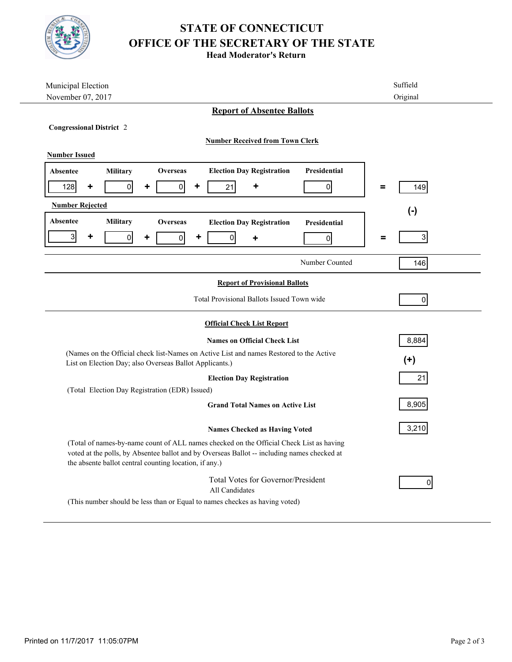

## **STATE OF CONNECTICUT OFFICE OF THE SECRETARY OF THE STATE**

**Head Moderator's Return**

| Municipal Election                                                                                                                                                                                                                               | Suffield                                |  |  |
|--------------------------------------------------------------------------------------------------------------------------------------------------------------------------------------------------------------------------------------------------|-----------------------------------------|--|--|
| November 07, 2017                                                                                                                                                                                                                                | Original                                |  |  |
| <b>Report of Absentee Ballots</b>                                                                                                                                                                                                                |                                         |  |  |
| <b>Congressional District 2</b>                                                                                                                                                                                                                  |                                         |  |  |
| <b>Number Received from Town Clerk</b>                                                                                                                                                                                                           |                                         |  |  |
| <b>Number Issued</b>                                                                                                                                                                                                                             |                                         |  |  |
| <b>Election Day Registration</b><br><b>Overseas</b><br><b>Absentee</b><br><b>Military</b>                                                                                                                                                        | <b>Presidential</b>                     |  |  |
| $\overline{0}$<br>128<br>٠<br>21<br>٠<br>٠<br>$\overline{0}$<br>٠                                                                                                                                                                                | $\pmb{0}$<br>149<br>=                   |  |  |
| <b>Number Rejected</b><br>$(-)$                                                                                                                                                                                                                  |                                         |  |  |
| Absentee<br><b>Military</b><br><b>Overseas</b><br><b>Election Day Registration</b>                                                                                                                                                               | Presidential                            |  |  |
| $\mathbf{3}$<br>٠<br>$\overline{0}$<br>$\overline{0}$<br>$\overline{0}$<br>٠<br>٠<br>٠                                                                                                                                                           | 3 <sup>1</sup><br>$\pmb{0}$<br>$\equiv$ |  |  |
|                                                                                                                                                                                                                                                  | Number Counted<br>146                   |  |  |
| <b>Report of Provisional Ballots</b>                                                                                                                                                                                                             |                                         |  |  |
| Total Provisional Ballots Issued Town wide                                                                                                                                                                                                       | 0                                       |  |  |
| <b>Official Check List Report</b>                                                                                                                                                                                                                |                                         |  |  |
| <b>Names on Official Check List</b>                                                                                                                                                                                                              | 8,884                                   |  |  |
| (Names on the Official check list-Names on Active List and names Restored to the Active<br>List on Election Day; also Overseas Ballot Applicants.)                                                                                               | $(+)$                                   |  |  |
| <b>Election Day Registration</b>                                                                                                                                                                                                                 | 21                                      |  |  |
| (Total Election Day Registration (EDR) Issued)                                                                                                                                                                                                   |                                         |  |  |
| <b>Grand Total Names on Active List</b>                                                                                                                                                                                                          | 8,905                                   |  |  |
| <b>Names Checked as Having Voted</b>                                                                                                                                                                                                             | 3,210                                   |  |  |
| (Total of names-by-name count of ALL names checked on the Official Check List as having<br>voted at the polls, by Absentee ballot and by Overseas Ballot -- including names checked at<br>the absente ballot central counting location, if any.) |                                         |  |  |
| <b>Total Votes for Governor/President</b><br>All Candidates                                                                                                                                                                                      | 0                                       |  |  |
| (This number should be less than or Equal to names checkes as having voted)                                                                                                                                                                      |                                         |  |  |